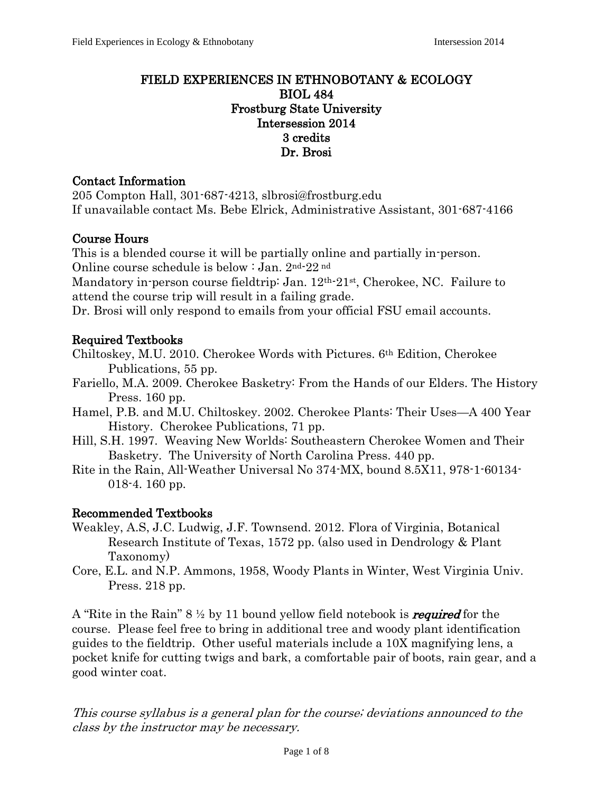### FIELD EXPERIENCES IN ETHNOBOTANY & ECOLOGY BIOL 484 Frostburg State University Intersession 2014 3 credits Dr. Brosi

### Contact Information

205 Compton Hall, 301-687-4213, slbrosi@frostburg.edu If unavailable contact Ms. Bebe Elrick, Administrative Assistant, 301-687-4166

## Course Hours

This is a blended course it will be partially online and partially in-person. Online course schedule is below : Jan. 2nd-22 nd

Mandatory in-person course fieldtrip: Jan. 12<sup>th-21st</sup>, Cherokee, NC. Failure to attend the course trip will result in a failing grade.

Dr. Brosi will only respond to emails from your official FSU email accounts.

### Required Textbooks

Chiltoskey, M.U. 2010. Cherokee Words with Pictures. 6th Edition, Cherokee Publications, 55 pp.

- Fariello, M.A. 2009. Cherokee Basketry: From the Hands of our Elders. The History Press. 160 pp.
- Hamel, P.B. and M.U. Chiltoskey. 2002. Cherokee Plants: Their Uses—A 400 Year History. Cherokee Publications, 71 pp.
- Hill, S.H. 1997. Weaving New Worlds: Southeastern Cherokee Women and Their Basketry. The University of North Carolina Press. 440 pp.
- Rite in the Rain, All-Weather Universal No 374-MX, bound 8.5X11, 978-1-60134- 018-4. 160 pp.

#### Recommended Textbooks

- Weakley, A.S, J.C. Ludwig, J.F. Townsend. 2012. Flora of Virginia, Botanical Research Institute of Texas, 1572 pp. (also used in Dendrology & Plant Taxonomy)
- Core, E.L. and N.P. Ammons, 1958, Woody Plants in Winter, West Virginia Univ. Press. 218 pp.

A "Rite in the Rain"  $8\frac{1}{2}$  by 11 bound yellow field notebook is *required* for the course. Please feel free to bring in additional tree and woody plant identification guides to the fieldtrip. Other useful materials include a 10X magnifying lens, a pocket knife for cutting twigs and bark, a comfortable pair of boots, rain gear, and a good winter coat.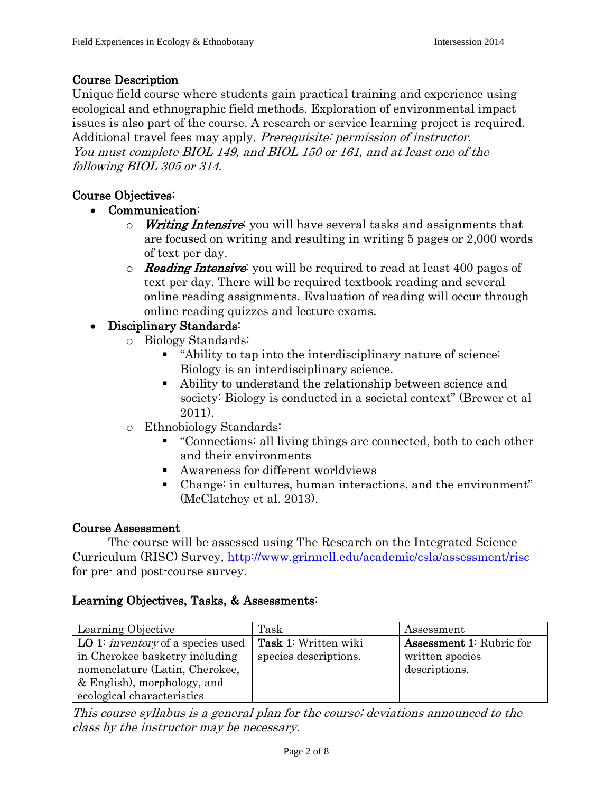## Course Description

Unique field course where students gain practical training and experience using ecological and ethnographic field methods. Exploration of environmental impact issues is also part of the course. A research or service learning project is required. Additional travel fees may apply. Prerequisite: permission of instructor. You must complete BIOL 149, and BIOL 150 or 161, and at least one of the following BIOL 305 or 314.

### Course Objectives:

- Communication:
	- $\circ$  Writing Intensive: you will have several tasks and assignments that are focused on writing and resulting in writing 5 pages or 2,000 words of text per day.
	- $\circ$  **Reading Intensive:** you will be required to read at least 400 pages of text per day. There will be required textbook reading and several online reading assignments. Evaluation of reading will occur through online reading quizzes and lecture exams.

## Disciplinary Standards:

- o Biology Standards:
	- "Ability to tap into the interdisciplinary nature of science: Biology is an interdisciplinary science.
	- Ability to understand the relationship between science and society: Biology is conducted in a societal context" (Brewer et al 2011).
- o Ethnobiology Standards:
	- "Connections: all living things are connected, both to each other and their environments
	- Awareness for different worldviews
	- Change: in cultures, human interactions, and the environment" (McClatchey et al. 2013).

## Course Assessment

The course will be assessed using The Research on the Integrated Science Curriculum (RISC) Survey,<http://www.grinnell.edu/academic/csla/assessment/risc> for pre- and post-course survey.

## Learning Objectives, Tasks, & Assessments:

| Learning Objective                              | Task                        | Assessment                      |
|-------------------------------------------------|-----------------------------|---------------------------------|
| <b>LO</b> 1: <i>inventory</i> of a species used | <b>Task 1:</b> Written wiki | <b>Assessment 1:</b> Rubric for |
| in Cherokee basketry including                  | species descriptions.       | written species                 |
| nomenclature (Latin, Cherokee,                  |                             | descriptions.                   |
| & English), morphology, and                     |                             |                                 |
| ecological characteristics                      |                             |                                 |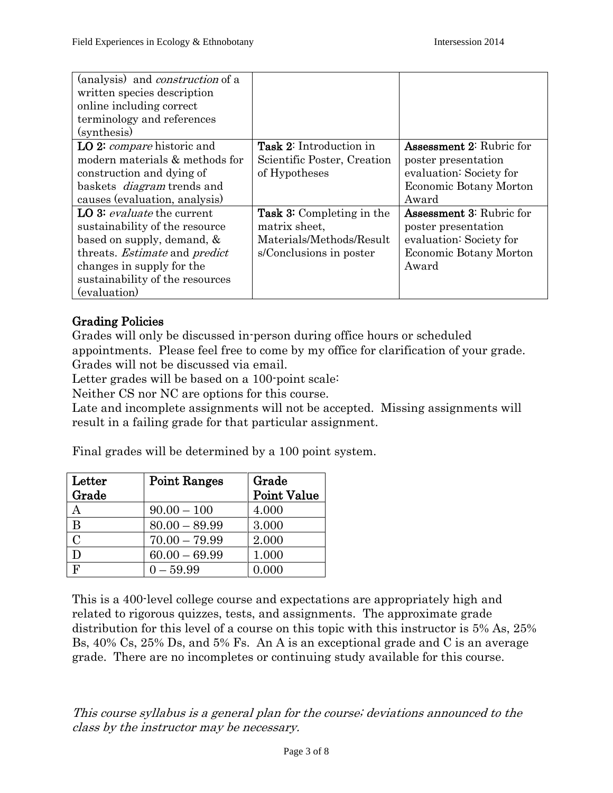| (analysis) and <i>construction</i> of a     |                                  |                                 |
|---------------------------------------------|----------------------------------|---------------------------------|
| written species description                 |                                  |                                 |
| online including correct                    |                                  |                                 |
| terminology and references                  |                                  |                                 |
| (synthesis)                                 |                                  |                                 |
| LO 2: <i>compare</i> historic and           | <b>Task 2:</b> Introduction in   | <b>Assessment 2: Rubric for</b> |
| modern materials & methods for              | Scientific Poster, Creation      | poster presentation             |
| construction and dying of                   | of Hypotheses                    | evaluation: Society for         |
| baskets <i>diagram</i> trends and           |                                  | Economic Botany Morton          |
| causes (evaluation, analysis)               |                                  | Award                           |
| LO 3: <i>evaluate</i> the current           | <b>Task 3:</b> Completing in the | <b>Assessment 3: Rubric for</b> |
| sustainability of the resource              | matrix sheet,                    | poster presentation             |
| based on supply, demand, $\&$               | Materials/Methods/Result         | evaluation: Society for         |
| threats. <i>Estimate</i> and <i>predict</i> | s/Conclusions in poster          | Economic Botany Morton          |
| changes in supply for the                   |                                  | Award                           |
| sustainability of the resources             |                                  |                                 |
| (evaluation)                                |                                  |                                 |

## Grading Policies

Grades will only be discussed in-person during office hours or scheduled appointments. Please feel free to come by my office for clarification of your grade. Grades will not be discussed via email.

Letter grades will be based on a 100-point scale:

Neither CS nor NC are options for this course.

Late and incomplete assignments will not be accepted. Missing assignments will result in a failing grade for that particular assignment.

Final grades will be determined by a 100 point system.

| Letter         | <b>Point Ranges</b> | Grade              |  |
|----------------|---------------------|--------------------|--|
| Grade          |                     | <b>Point Value</b> |  |
|                | $90.00 - 100$       | 4.000              |  |
| B              | $80.00 - 89.99$     | 3.000              |  |
| $\overline{C}$ | $70.00 - 79.99$     | 2.000              |  |
|                | $60.00 - 69.99$     | 1.000              |  |
| F              | $0 - 59.99$         | 0.000              |  |

This is a 400-level college course and expectations are appropriately high and related to rigorous quizzes, tests, and assignments. The approximate grade distribution for this level of a course on this topic with this instructor is 5% As, 25% Bs, 40% Cs, 25% Ds, and 5% Fs. An A is an exceptional grade and C is an average grade. There are no incompletes or continuing study available for this course.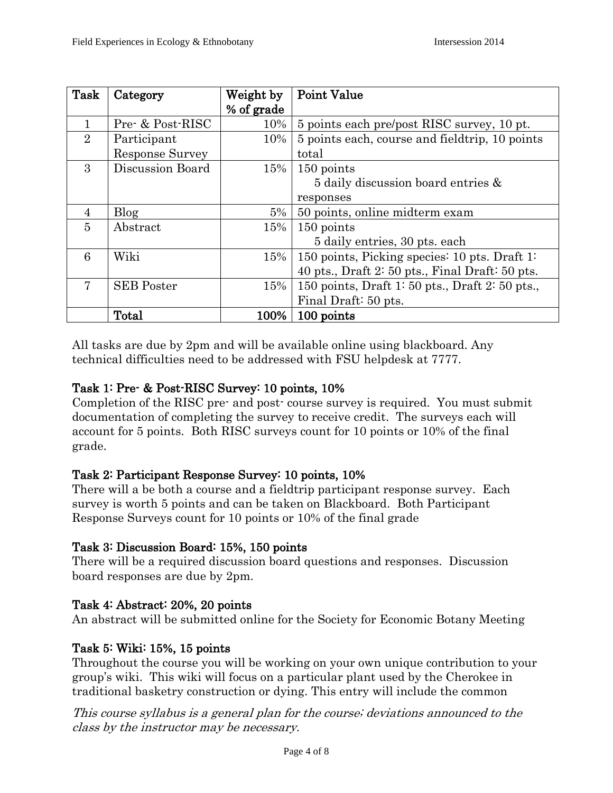| Task           | Category          | Weight by  | <b>Point Value</b>                                 |  |
|----------------|-------------------|------------|----------------------------------------------------|--|
|                |                   | % of grade |                                                    |  |
| 1              | Pre- & Post-RISC  | 10%        | 5 points each pre/post RISC survey, 10 pt.         |  |
| $\overline{2}$ | Participant       | 10%        | 5 points each, course and field trip, 10 points    |  |
|                | Response Survey   |            | total                                              |  |
| 3              | Discussion Board  | 15%        | 150 points                                         |  |
|                |                   |            | 5 daily discussion board entries $\&$              |  |
|                |                   |            | responses                                          |  |
| $\overline{4}$ | <b>Blog</b>       | $5\%$      | 50 points, online midterm exam                     |  |
| $\overline{5}$ | Abstract          | 15%        | 150 points                                         |  |
|                |                   |            | 5 daily entries, 30 pts. each                      |  |
| 6              | Wiki              | $15\%$     | 150 points, Picking species: 10 pts. Draft 1:      |  |
|                |                   |            | 40 pts., Draft $2:50$ pts., Final Draft: $50$ pts. |  |
| 7              | <b>SEB</b> Poster | $15\%$     | 150 points, Draft 1: 50 pts., Draft 2: 50 pts.,    |  |
|                |                   |            | Final Draft: 50 pts.                               |  |
|                | Total             | 100%       | 100 points                                         |  |

All tasks are due by 2pm and will be available online using blackboard. Any technical difficulties need to be addressed with FSU helpdesk at 7777.

## Task 1: Pre- & Post-RISC Survey: 10 points, 10%

Completion of the RISC pre- and post- course survey is required. You must submit documentation of completing the survey to receive credit. The surveys each will account for 5 points. Both RISC surveys count for 10 points or 10% of the final grade.

## Task 2: Participant Response Survey: 10 points, 10%

There will a be both a course and a fieldtrip participant response survey. Each survey is worth 5 points and can be taken on Blackboard. Both Participant Response Surveys count for 10 points or 10% of the final grade

## Task 3: Discussion Board: 15%, 150 points

There will be a required discussion board questions and responses. Discussion board responses are due by 2pm.

## Task 4: Abstract: 20%, 20 points

An abstract will be submitted online for the Society for Economic Botany Meeting

# Task 5: Wiki: 15%, 15 points

Throughout the course you will be working on your own unique contribution to your group's wiki. This wiki will focus on a particular plant used by the Cherokee in traditional basketry construction or dying. This entry will include the common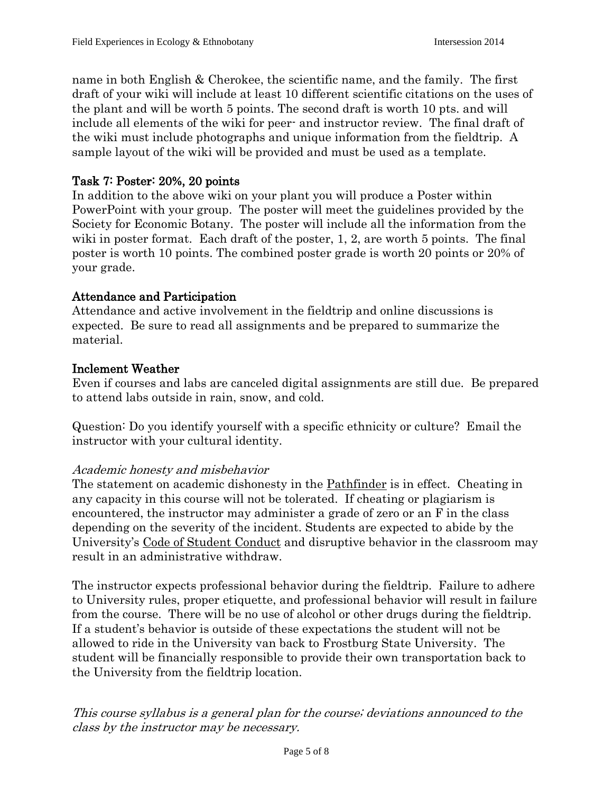name in both English & Cherokee, the scientific name, and the family. The first draft of your wiki will include at least 10 different scientific citations on the uses of the plant and will be worth 5 points. The second draft is worth 10 pts. and will include all elements of the wiki for peer- and instructor review. The final draft of the wiki must include photographs and unique information from the fieldtrip. A sample layout of the wiki will be provided and must be used as a template.

#### Task 7: Poster: 20%, 20 points

In addition to the above wiki on your plant you will produce a Poster within PowerPoint with your group. The poster will meet the guidelines provided by the Society for Economic Botany. The poster will include all the information from the wiki in poster format. Each draft of the poster, 1, 2, are worth 5 points. The final poster is worth 10 points. The combined poster grade is worth 20 points or 20% of your grade.

## Attendance and Participation

Attendance and active involvement in the fieldtrip and online discussions is expected. Be sure to read all assignments and be prepared to summarize the material.

#### Inclement Weather

Even if courses and labs are canceled digital assignments are still due. Be prepared to attend labs outside in rain, snow, and cold.

Question: Do you identify yourself with a specific ethnicity or culture? Email the instructor with your cultural identity.

#### Academic honesty and misbehavior

The statement on academic dishonesty in the Pathfinder is in effect. Cheating in any capacity in this course will not be tolerated. If cheating or plagiarism is encountered, the instructor may administer a grade of zero or an F in the class depending on the severity of the incident. Students are expected to abide by the University's Code of Student Conduct and disruptive behavior in the classroom may result in an administrative withdraw.

The instructor expects professional behavior during the fieldtrip. Failure to adhere to University rules, proper etiquette, and professional behavior will result in failure from the course. There will be no use of alcohol or other drugs during the fieldtrip. If a student's behavior is outside of these expectations the student will not be allowed to ride in the University van back to Frostburg State University. The student will be financially responsible to provide their own transportation back to the University from the fieldtrip location.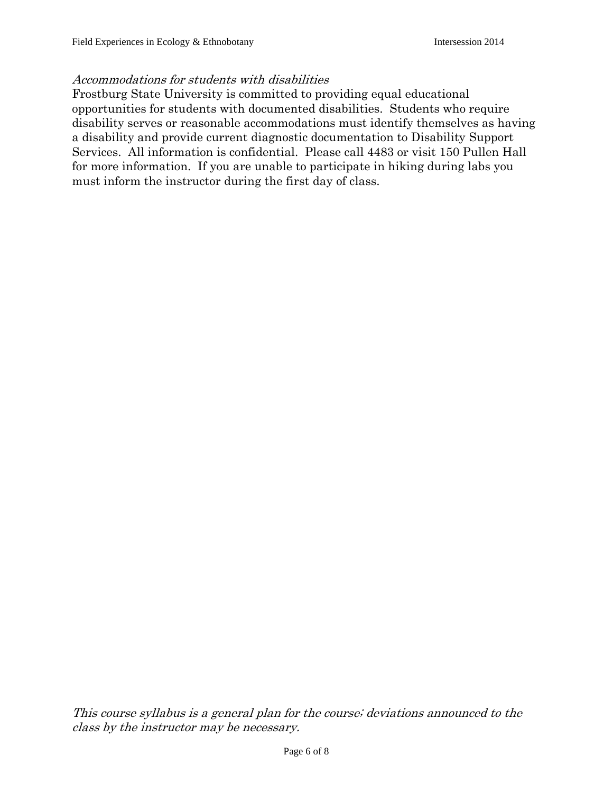#### Accommodations for students with disabilities

Frostburg State University is committed to providing equal educational opportunities for students with documented disabilities. Students who require disability serves or reasonable accommodations must identify themselves as having a disability and provide current diagnostic documentation to Disability Support Services. All information is confidential. Please call 4483 or visit 150 Pullen Hall for more information. If you are unable to participate in hiking during labs you must inform the instructor during the first day of class.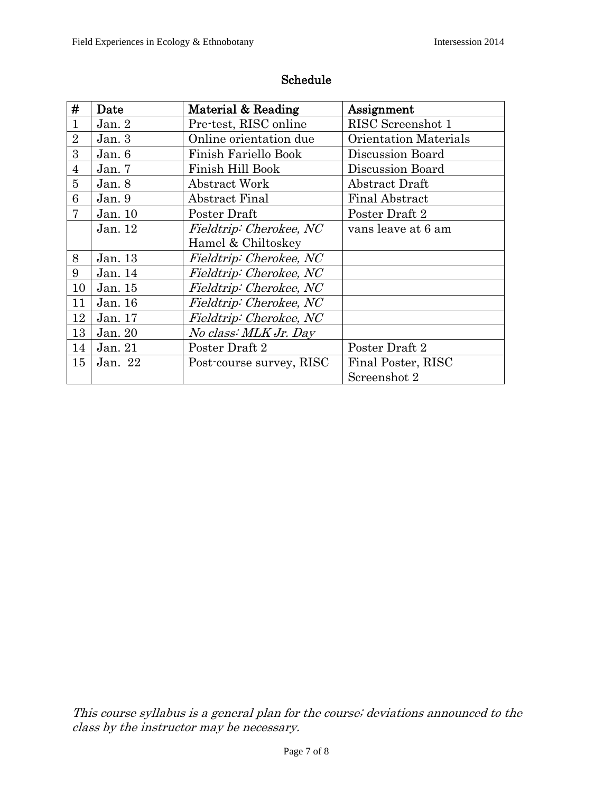| #              | Date      | Material & Reading       | Assignment                   |
|----------------|-----------|--------------------------|------------------------------|
| 1              | Jan. $2$  | Pre-test, RISC online    | RISC Screenshot 1            |
| $\overline{2}$ | Jan. $3$  | Online orientation due   | <b>Orientation Materials</b> |
| 3              | Jan. $6$  | Finish Fariello Book     | Discussion Board             |
| $\overline{4}$ | Jan. $7$  | Finish Hill Book         | Discussion Board             |
| 5              | Jan. 8    | Abstract Work            | Abstract Draft               |
| 6              | Jan. $9$  | Abstract Final           | <b>Final Abstract</b>        |
| 7              | Jan. 10   | Poster Draft             | Poster Draft 2               |
|                | Jan. 12   | Fieldtrip: Cherokee, NC  | vans leave at 6 am           |
|                |           | Hamel & Chiltoskey       |                              |
| 8              | Jan. 13   | Fieldtrip: Cherokee, NC  |                              |
| 9              | Jan. $14$ | Fieldtrip: Cherokee, NC  |                              |
| 10             | Jan. 15   | Fieldtrip: Cherokee, NC  |                              |
| 11             | Jan. 16   | Fieldtrip: Cherokee, NC  |                              |
| 12             | Jan. 17   | Fieldtrip: Cherokee, NC  |                              |
| 13             | Jan. 20   | No class: MLK Jr. Day    |                              |
| 14             | Jan. 21   | Poster Draft 2           | Poster Draft 2               |
| 15             | Jan. 22   | Post-course survey, RISC | Final Poster, RISC           |
|                |           |                          | Screenshot 2                 |

## Schedule